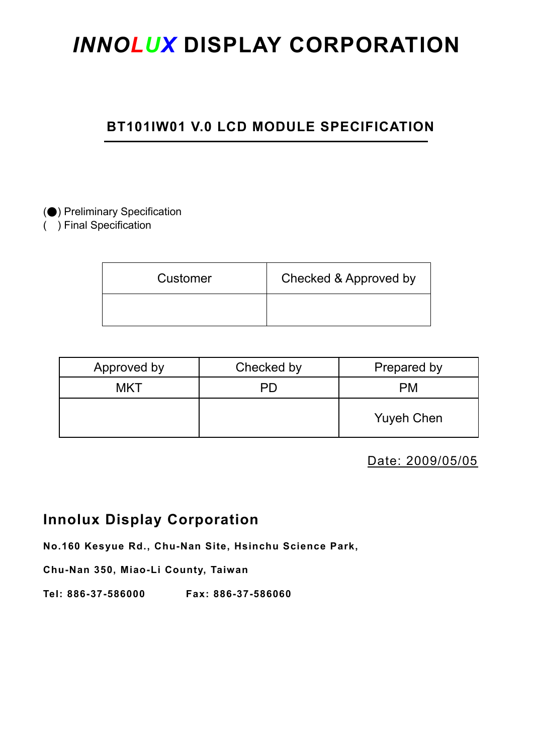# *INNOLUX* **DISPLAY CORPORATION**

# **BT101IW01 V.0 LCD MODULE SPECIFICATION**

# (●) Preliminary Specification

( ) Final Specification

| Customer | Checked & Approved by |
|----------|-----------------------|
|          |                       |

| Approved by | Checked by | Prepared by       |
|-------------|------------|-------------------|
| <b>MKT</b>  | PD         | РM                |
|             |            | <b>Yuyeh Chen</b> |

Date: 2009/05/05

# **Innolux Display Corporation**

**No.160 Kesyue Rd., Chu-Nan Site, Hsinchu Science Park,** 

**Chu-Nan 350, Miao-Li County, Taiwan** 

**Tel: 886-37-586000 Fax: 886-37-586060**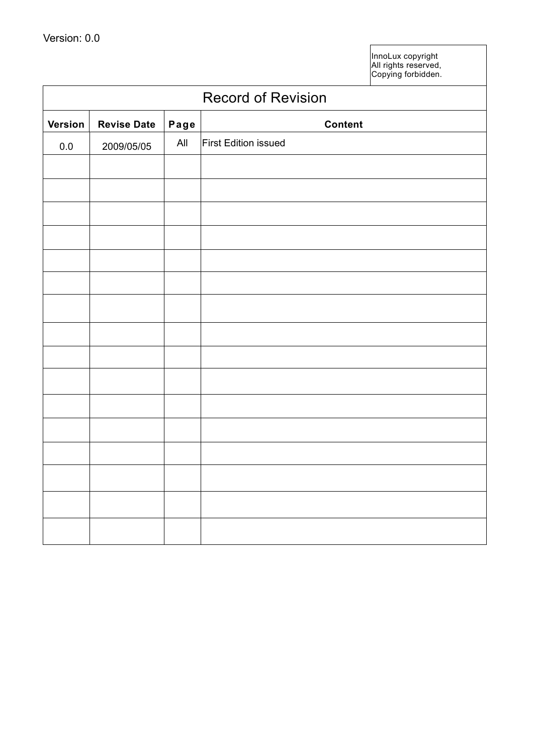InnoLux copyright All rights reserved, Copying forbidden.

| <b>Record of Revision</b> |                    |      |                      |  |
|---------------------------|--------------------|------|----------------------|--|
| <b>Version</b>            | <b>Revise Date</b> | Page | <b>Content</b>       |  |
| 0.0                       | 2009/05/05         | All  | First Edition issued |  |
|                           |                    |      |                      |  |
|                           |                    |      |                      |  |
|                           |                    |      |                      |  |
|                           |                    |      |                      |  |
|                           |                    |      |                      |  |
|                           |                    |      |                      |  |
|                           |                    |      |                      |  |
|                           |                    |      |                      |  |
|                           |                    |      |                      |  |
|                           |                    |      |                      |  |
|                           |                    |      |                      |  |
|                           |                    |      |                      |  |
|                           |                    |      |                      |  |
|                           |                    |      |                      |  |
|                           |                    |      |                      |  |
|                           |                    |      |                      |  |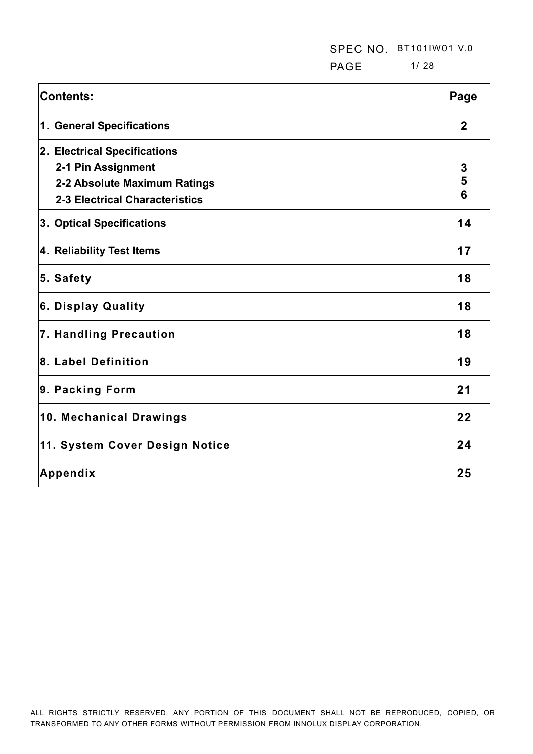**PAGE** 1/28

| <b>Contents:</b>                      | Page        |
|---------------------------------------|-------------|
| 1. General Specifications             | $\mathbf 2$ |
| 2. Electrical Specifications          |             |
| 2-1 Pin Assignment                    | 3           |
| 2-2 Absolute Maximum Ratings          | 5           |
| <b>2-3 Electrical Characteristics</b> | 6           |
| 3. Optical Specifications             | 14          |
| 4. Reliability Test Items             | 17          |
| 5. Safety                             | 18          |
| 6. Display Quality                    | 18          |
| 7. Handling Precaution                | 18          |
| 8. Label Definition                   | 19          |
| 9. Packing Form                       | 21          |
| 10. Mechanical Drawings               | 22          |
| 11. System Cover Design Notice        | 24          |
| Appendix                              | 25          |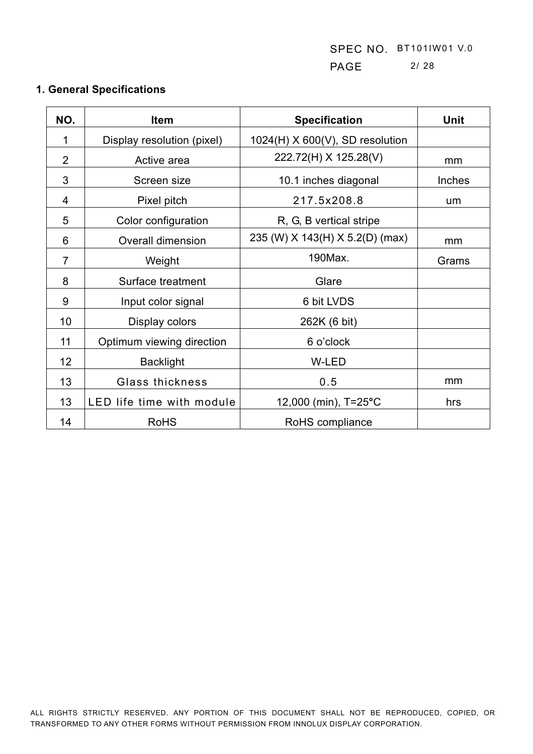SPEC NO. BT101IW01 V.0 PAGE 2/ 28

| NO.            | <b>Specification</b><br><b>Item</b> |                                   | <b>Unit</b>   |
|----------------|-------------------------------------|-----------------------------------|---------------|
| 1              | Display resolution (pixel)          | $1024(H)$ X 600(V), SD resolution |               |
| $\overline{2}$ | Active area                         | 222.72(H) X 125.28(V)             | mm            |
| 3              | Screen size                         | 10.1 inches diagonal              | <b>Inches</b> |
| 4              | Pixel pitch                         | 217.5x208.8                       | um            |
| 5              | Color configuration                 | R, G, B vertical stripe           |               |
| 6              | <b>Overall dimension</b>            | 235 (W) X 143(H) X 5.2(D) (max)   | mm            |
| $\overline{7}$ | Weight                              | 190Max.                           | Grams         |
| 8              | Surface treatment                   | Glare                             |               |
| 9              | Input color signal                  | 6 bit LVDS                        |               |
| 10             | Display colors                      | 262K (6 bit)                      |               |
| 11             | Optimum viewing direction           | 6 o'clock                         |               |
| 12             | <b>Backlight</b>                    | W-LED                             |               |
| 13             | <b>Glass thickness</b>              | 0.5                               | mm            |
| 13             | LED life time with module           | 12,000 (min), T=25°C              | hrs           |
| 14             | <b>RoHS</b>                         | RoHS compliance                   |               |

# **1. General Specifications**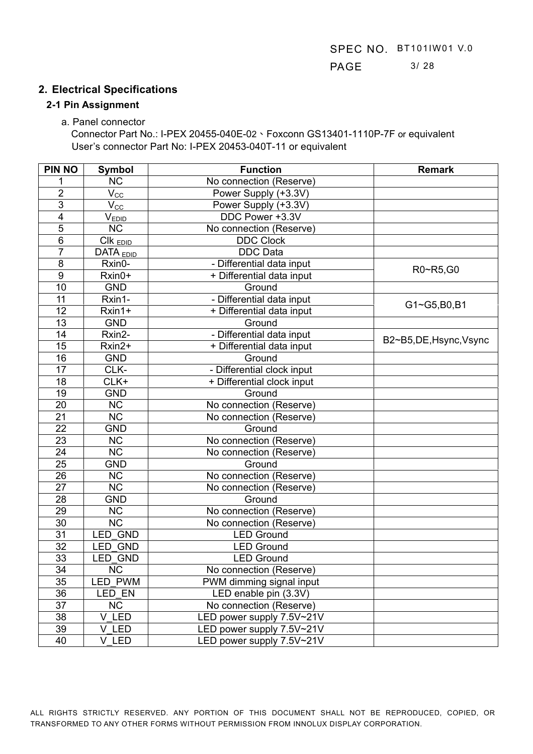## **2. Electrical Specifications**

#### **2-1 Pin Assignment**

a. Panel connector

Connector Part No.: I-PEX 20455-040E-02、Foxconn GS13401-1110P-7F or equivalent User's connector Part No: I-PEX 20453-040T-11 or equivalent

| <b>PIN NO</b>   | <b>Symbol</b>                          | <b>Function</b>            | <b>Remark</b>        |  |
|-----------------|----------------------------------------|----------------------------|----------------------|--|
|                 | <b>NC</b>                              | No connection (Reserve)    |                      |  |
| $\overline{2}$  | $V_{\underline{CC}}$                   | Power Supply (+3.3V)       |                      |  |
| $\overline{3}$  | $V_{\underline{CC}}$                   | Power Supply (+3.3V)       |                      |  |
| 4               | $V_{EDID}$                             | DDC Power +3.3V            |                      |  |
| $\overline{5}$  | <b>NC</b>                              | No connection (Reserve)    |                      |  |
| 6               | $\overline{C}$ IK $_{\overline{EDID}}$ | <b>DDC Clock</b>           |                      |  |
| $\overline{7}$  | DATA <sub>EDID</sub>                   | <b>DDC</b> Data            |                      |  |
| $\overline{8}$  | Rxin0-                                 | - Differential data input  | R0~R5,G0             |  |
| $\overline{9}$  | Rxin0+                                 | + Differential data input  |                      |  |
| $\overline{10}$ | <b>GND</b>                             | Ground                     |                      |  |
| 11              | Rxin1-                                 | - Differential data input  |                      |  |
| 12              | Rxin1+                                 | + Differential data input  | G1~G5,B0,B1          |  |
| 13              | <b>GND</b>                             | Ground                     |                      |  |
| 14              | Rxin2-                                 | - Differential data input  | B2~B5,DE,Hsync,Vsync |  |
| 15              | Rxin2+                                 | + Differential data input  |                      |  |
| 16              | <b>GND</b>                             | Ground                     |                      |  |
| 17              | CLK-                                   | - Differential clock input |                      |  |
| 18              | CLK+                                   | + Differential clock input |                      |  |
| 19              | <b>GND</b>                             | Ground                     |                      |  |
| $\overline{20}$ | <b>NC</b>                              | No connection (Reserve)    |                      |  |
| $\overline{21}$ | $\overline{\text{NC}}$                 | No connection (Reserve)    |                      |  |
| $\overline{22}$ | <b>GND</b>                             | Ground                     |                      |  |
| $\overline{23}$ | $\overline{\text{NC}}$                 | No connection (Reserve)    |                      |  |
| 24              | $\overline{\text{NC}}$                 | No connection (Reserve)    |                      |  |
| $\overline{25}$ | <b>GND</b>                             | Ground                     |                      |  |
| 26              | <b>NC</b>                              | No connection (Reserve)    |                      |  |
| 27              | <b>NC</b>                              | No connection (Reserve)    |                      |  |
| 28              | <b>GND</b>                             | Ground                     |                      |  |
| $\overline{29}$ | <b>NC</b>                              | No connection (Reserve)    |                      |  |
| 30              | <b>NC</b>                              | No connection (Reserve)    |                      |  |
| $\overline{31}$ | LED GND                                | <b>LED Ground</b>          |                      |  |
| 32              | LED GND                                | <b>LED Ground</b>          |                      |  |
| $\overline{33}$ | LED GND                                | <b>LED Ground</b>          |                      |  |
| 34              | <b>NC</b>                              | No connection (Reserve)    |                      |  |
| 35              | LED_PWM                                | PWM dimming signal input   |                      |  |
| $\overline{36}$ | LED EN                                 | LED enable pin (3.3V)      |                      |  |
| 37              | NC                                     | No connection (Reserve)    |                      |  |
| 38              | V LED                                  | LED power supply 7.5V~21V  |                      |  |
| 39              | V_LED                                  | LED power supply 7.5V~21V  |                      |  |
| 40              | V LED                                  | LED power supply 7.5V~21V  |                      |  |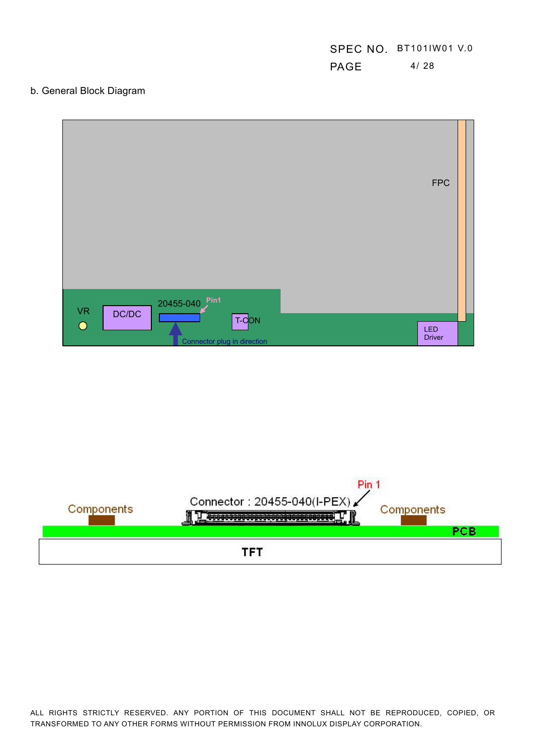# SPEC NO. BT101IW01 V.0 **PAGE** 4/28

### b. General Block Diagram

|                                                                   | <b>FPC</b> |  |
|-------------------------------------------------------------------|------------|--|
| 20455-040 Pin1<br><b>VR</b><br>DC/DC<br>T-CON<br>$\bullet$<br>LED |            |  |

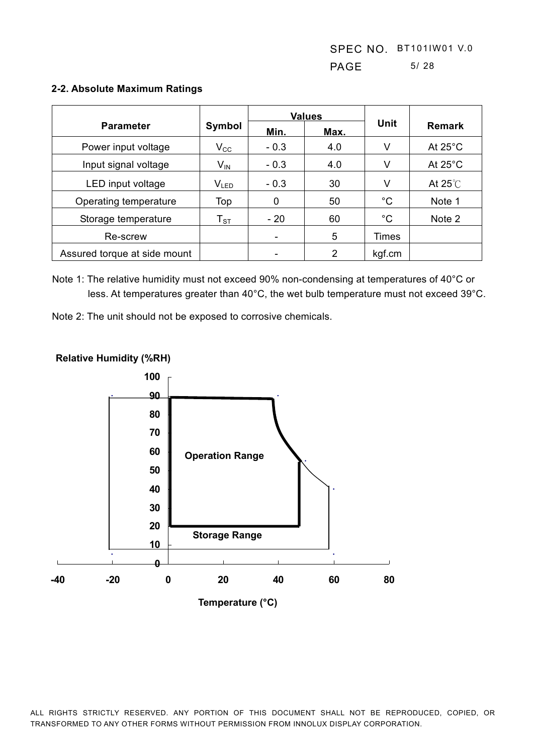|                              |                    |        | <b>Values</b> |             |                   |
|------------------------------|--------------------|--------|---------------|-------------|-------------------|
| <b>Parameter</b>             | Symbol             | Min.   | Max.          | Unit        | <b>Remark</b>     |
| Power input voltage          | $V_{\rm CC}$       | $-0.3$ | 4.0           | V           | At $25^{\circ}$ C |
| Input signal voltage         | $V_{\text{IN}}$    | $-0.3$ | 4.0           | V           | At $25^{\circ}$ C |
| LED input voltage            | $V_{LED}$          | $-0.3$ | 30            | V           | At $25^{\circ}$ C |
| Operating temperature        | Top                | 0      | 50            | °C          | Note 1            |
| Storage temperature          | ${\sf T}_{\tt ST}$ | $-20$  | 60            | $^{\circ}C$ | Note 2            |
| Re-screw                     |                    |        | 5             | Times       |                   |
| Assured torque at side mount |                    |        | 2             | kgf.cm      |                   |

#### **2-2. Absolute Maximum Ratings**

Note 1: The relative humidity must not exceed 90% non-condensing at temperatures of 40°C or less. At temperatures greater than 40°C, the wet bulb temperature must not exceed 39°C.

Note 2: The unit should not be exposed to corrosive chemicals.



**Relative Humidity (%RH)**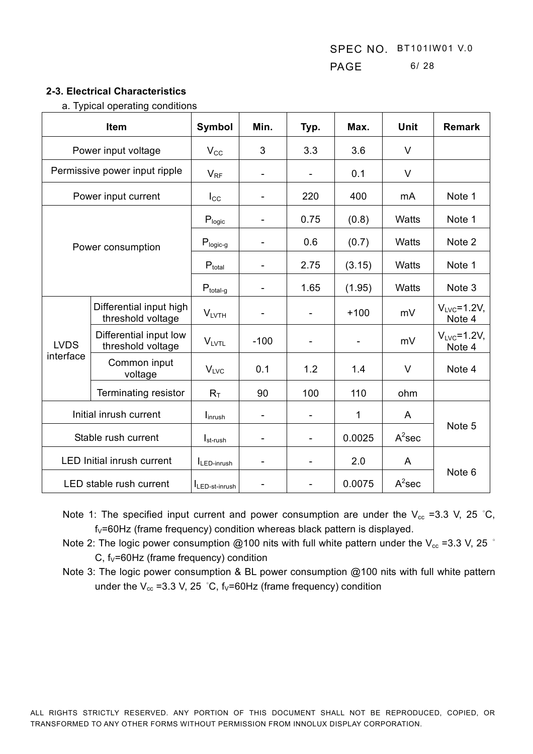#### **2-3. Electrical Characteristics**

a. Typical operating conditions

| Item                                                       |                                              | Symbol                        | Min.                         | Typ.                     | Max.         | <b>Unit</b> | <b>Remark</b>                |  |
|------------------------------------------------------------|----------------------------------------------|-------------------------------|------------------------------|--------------------------|--------------|-------------|------------------------------|--|
|                                                            | Power input voltage                          | $V_{\rm CC}$                  | 3                            | 3.3                      | 3.6          | $\vee$      |                              |  |
|                                                            | Permissive power input ripple                | $V_{RF}$                      | $\overline{\phantom{a}}$     |                          | 0.1          | $\vee$      |                              |  |
|                                                            | Power input current                          | $I_{\rm CC}$                  | $\overline{\phantom{a}}$     | 220                      | 400          | mA          | Note 1                       |  |
|                                                            |                                              | $\mathsf{P}_{\mathsf{logic}}$ | $\overline{\phantom{a}}$     | 0.75                     | (0.8)        | Watts       | Note 1                       |  |
|                                                            | Power consumption                            | $P_{logic-g}$                 |                              | 0.6                      | (0.7)        | Watts       | Note 2                       |  |
|                                                            |                                              | $P_{total}$                   | $\overline{\phantom{a}}$     | 2.75                     | (3.15)       | Watts       | Note 1                       |  |
|                                                            |                                              | $P_{total-g}$                 | $\overline{\phantom{a}}$     | 1.65                     | (1.95)       | Watts       | Note 3                       |  |
|                                                            | Differential input high<br>threshold voltage | V <sub>LVTH</sub>             | $\qquad \qquad \blacksquare$ | $\overline{\phantom{a}}$ | $+100$       | mV          | $V_{LVC} = 1.2V$ ,<br>Note 4 |  |
| Differential input low<br><b>LVDS</b><br>threshold voltage |                                              | $V_{L VTL}$                   | $-100$                       |                          |              | mV          | $V_{LVC} = 1.2V$ ,<br>Note 4 |  |
| interface                                                  | Common input<br>voltage                      | V <sub>LVC</sub>              | 0.1                          | 1.2                      | 1.4          | $\vee$      | Note 4                       |  |
| Terminating resistor                                       |                                              | $R_T$                         | 90                           | 100                      | 110          | ohm         |                              |  |
|                                                            | Initial inrush current                       |                               |                              |                          | $\mathbf{1}$ | A           |                              |  |
|                                                            | Stable rush current                          |                               |                              | ۰                        | 0.0025       | $A^2$ sec   | Note 5                       |  |
|                                                            | <b>LED Initial inrush current</b>            | ILED-inrush                   | $\blacksquare$               | ۰                        | 2.0          | A           |                              |  |
|                                                            | LED stable rush current                      | ILED-st-inrush                |                              |                          | 0.0075       | $A^2$ sec   | Note <sub>6</sub>            |  |

- Note 1: The specified input current and power consumption are under the  $V_{cc}$  =3.3 V, 25 °C,  $f_V = 60$ Hz (frame frequency) condition whereas black pattern is displayed.
- Note 2: The logic power consumption @100 nits with full white pattern under the V<sub>cc</sub> =3.3 V, 25  $\degree$ C,  $f_V = 60$ Hz (frame frequency) condition
- Note 3: The logic power consumption & BL power consumption @100 nits with full white pattern under the  $V_{cc}$  =3.3 V, 25 °C,  $f_V$ =60Hz (frame frequency) condition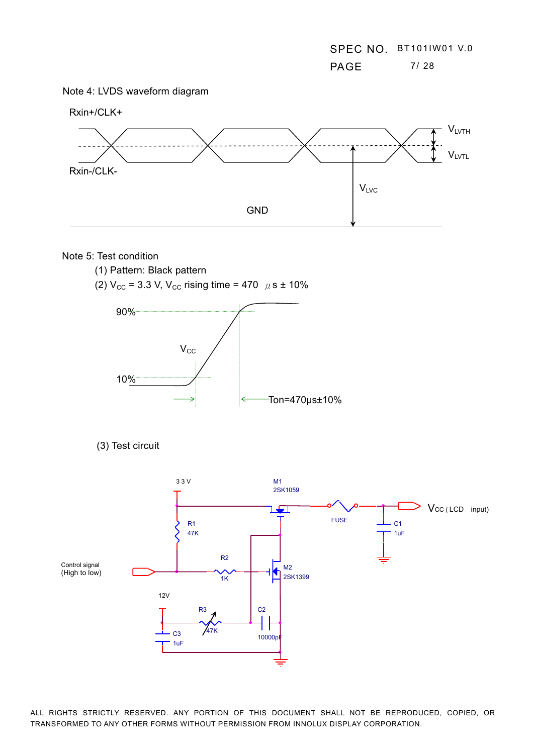



#### Note 5: Test condition

- (1) Pattern: Black pattern
- (2)  $V_{\text{CC}}$  = 3.3 V,  $V_{\text{CC}}$  rising time = 470  $\mu$  s ± 10%



```
(3) Test circuit
```
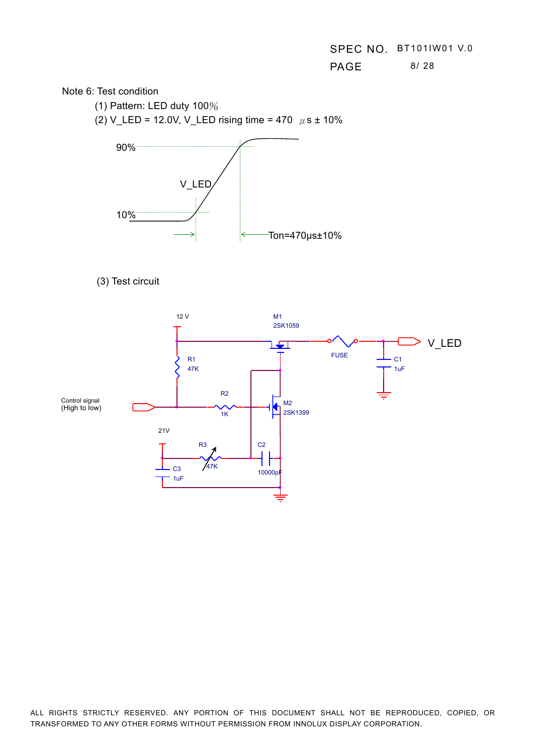**PAGE** 8/28



(1) Pattern: LED duty  $100\%$ 

(2) V\_LED = 12.0V, V\_LED rising time = 470  $\mu$  s ± 10%





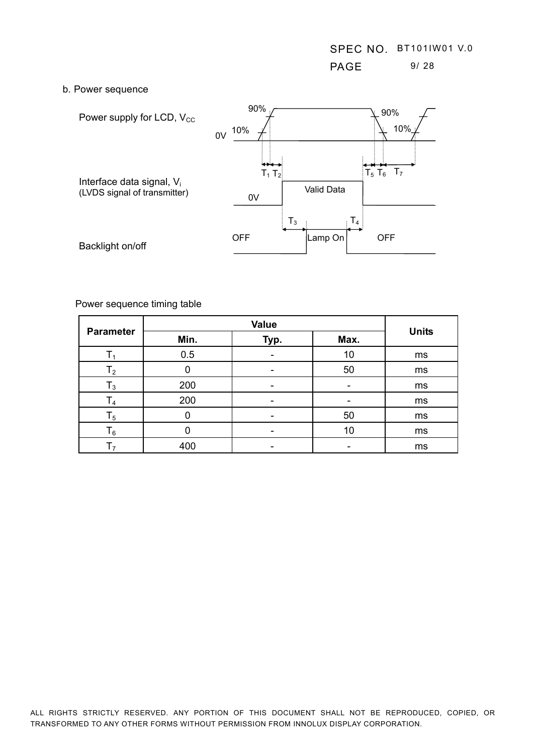#### b. Power sequence



Power sequence timing table

|                  |      | <b>Units</b> |      |    |
|------------------|------|--------------|------|----|
| <b>Parameter</b> | Min. | Typ.         | Max. |    |
| Т٠               | 0.5  |              | 10   | ms |
| T <sub>2</sub>   |      |              | 50   | ms |
| $\mathsf{T}_3$   | 200  |              |      | ms |
| $\mathsf{T}_4$   | 200  |              |      | ms |
| $T_5$            | ი    |              | 50   | ms |
| $\mathsf{T}_6$   |      |              | 10   | ms |
| T,               | 400  |              |      | ms |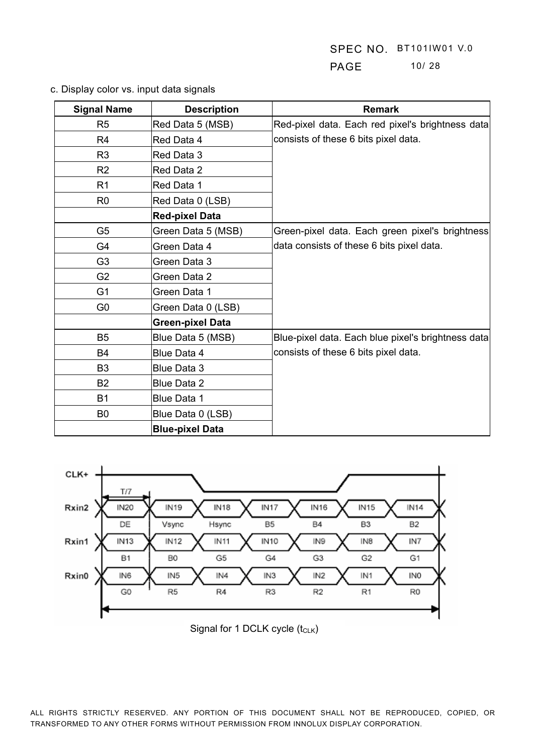# **PAGE** 10/ 28

| <b>Signal Name</b> | <b>Description</b>      | <b>Remark</b>                                      |
|--------------------|-------------------------|----------------------------------------------------|
| R <sub>5</sub>     | Red Data 5 (MSB)        | Red-pixel data. Each red pixel's brightness data   |
| R4                 | Red Data 4              | consists of these 6 bits pixel data.               |
| R <sub>3</sub>     | Red Data 3              |                                                    |
| R <sub>2</sub>     | Red Data 2              |                                                    |
| R <sub>1</sub>     | Red Data 1              |                                                    |
| R <sub>0</sub>     | Red Data 0 (LSB)        |                                                    |
|                    | <b>Red-pixel Data</b>   |                                                    |
| G <sub>5</sub>     | Green Data 5 (MSB)      | Green-pixel data. Each green pixel's brightness    |
| G <sub>4</sub>     | Green Data 4            | data consists of these 6 bits pixel data.          |
| G <sub>3</sub>     | Green Data 3            |                                                    |
| G <sub>2</sub>     | Green Data 2            |                                                    |
| G <sub>1</sub>     | Green Data 1            |                                                    |
| G <sub>0</sub>     | Green Data 0 (LSB)      |                                                    |
|                    | <b>Green-pixel Data</b> |                                                    |
| B <sub>5</sub>     | Blue Data 5 (MSB)       | Blue-pixel data. Each blue pixel's brightness data |
| <b>B4</b>          | Blue Data 4             | consists of these 6 bits pixel data.               |
| B <sub>3</sub>     | Blue Data 3             |                                                    |
| <b>B2</b>          | <b>Blue Data 2</b>      |                                                    |
| <b>B1</b>          | <b>Blue Data 1</b>      |                                                    |
| B <sub>0</sub>     | Blue Data 0 (LSB)       |                                                    |
|                    | <b>Blue-pixel Data</b>  |                                                    |

c. Display color vs. input data signals



Signal for 1 DCLK cycle  $(t_{\text{CLK}})$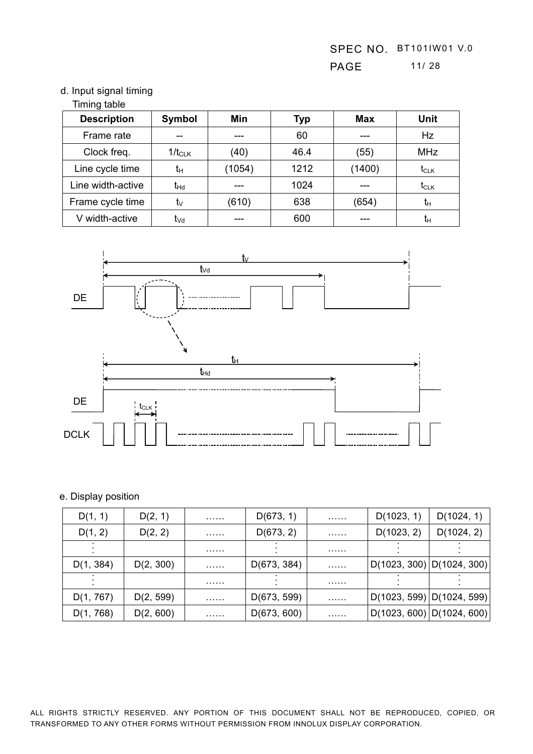## d. Input signal timing

## Timing table

| <b>Description</b> | Symbol          | Min    | <b>Typ</b> | <b>Max</b> | Unit           |
|--------------------|-----------------|--------|------------|------------|----------------|
| Frame rate         | --              |        | 60         |            | Hz             |
| Clock freq.        | $1/t_{CLK}$     | (40)   | 46.4       | (55)       | <b>MHz</b>     |
| Line cycle time    | tн              | (1054) | 1212       | (1400)     | $t_{CLK}$      |
| Line width-active  | t <sub>Hd</sub> |        | 1024       |            | $t_{CLK}$      |
| Frame cycle time   | tv              | (610)  | 638        | (654)      | $t_{H}$        |
| V width-active     | t <sub>∨d</sub> |        | 600        |            | t <sub>Η</sub> |



## e. Display position

| D(1, 1)   | D(2, 1)   | . | D(673, 1)   | . | D(1023, 1) | D(1024, 1)                  |
|-----------|-----------|---|-------------|---|------------|-----------------------------|
| D(1, 2)   | D(2, 2)   | . | D(673, 2)   | . | D(1023, 2) | D(1024, 2)                  |
|           |           | . |             | . |            |                             |
| D(1, 384) | D(2, 300) | . | D(673, 384) | . |            | D(1023, 300)   D(1024, 300) |
|           |           | . |             | . |            |                             |
| D(1, 767) | D(2, 599) | . | D(673, 599) | . |            | D(1023, 599)   D(1024, 599) |
| D(1, 768) | D(2, 600) | . | D(673, 600) | . |            | D(1023, 600)   D(1024, 600) |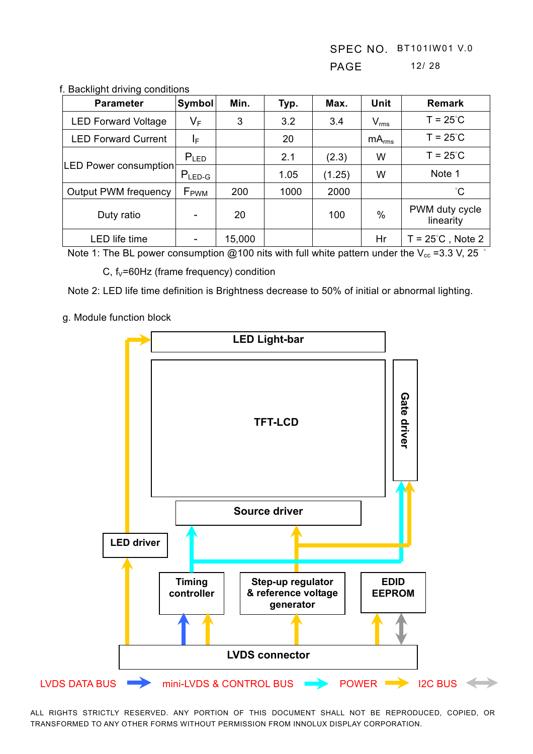| <b>Parameter</b>            | Symbol           | Min.   | Typ. | Max.   | Unit              | <b>Remark</b>               |
|-----------------------------|------------------|--------|------|--------|-------------------|-----------------------------|
| <b>LED Forward Voltage</b>  | VF               | 3      | 3.2  | 3.4    | $V_{rms}$         | $T = 25^{\circ}$ C          |
| <b>LED Forward Current</b>  | ΙF               |        | 20   |        | mA <sub>rms</sub> | $T = 25^{\circ}$ C          |
|                             | $P_{LED}$        |        | 2.1  | (2.3)  | W                 | $T = 25^{\circ}$ C          |
| LED Power consumption       | $P_{LED-G}$      |        | 1.05 | (1.25) | W                 | Note 1                      |
| <b>Output PWM frequency</b> | F <sub>PWM</sub> | 200    | 1000 | 2000   |                   | °С                          |
| Duty ratio                  |                  | 20     |      | 100    | %                 | PWM duty cycle<br>linearity |
| <b>LED</b> life time        |                  | 15,000 |      |        | Hr                | $T = 25^{\circ}$ C, Note 2  |

#### f. Backlight driving conditions

Note 1: The BL power consumption @100 nits with full white pattern under the V<sub>cc</sub> =3.3 V, 25  $^{\circ}$ 

C,  $f_v = 60$ Hz (frame frequency) condition

Note 2: LED life time definition is Brightness decrease to 50% of initial or abnormal lighting.

g. Module function block

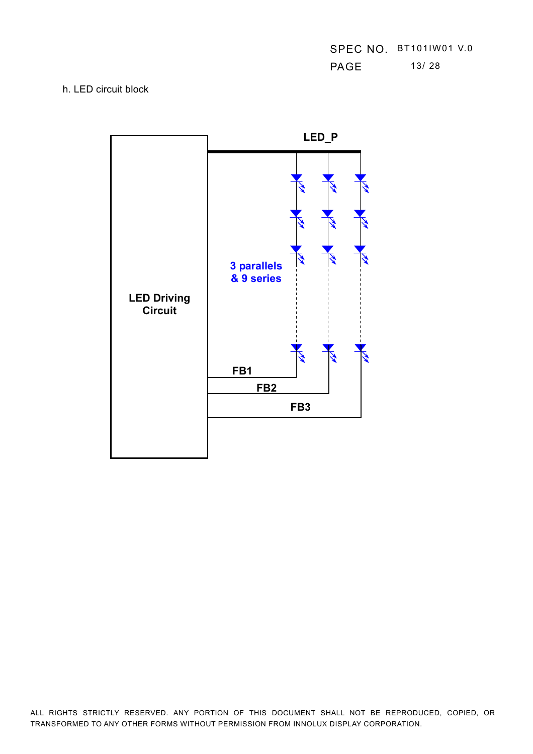|      | SPEC NO. BT101IW01 V.0 |
|------|------------------------|
| PAGE | 13/28                  |

#### h. LED circuit block

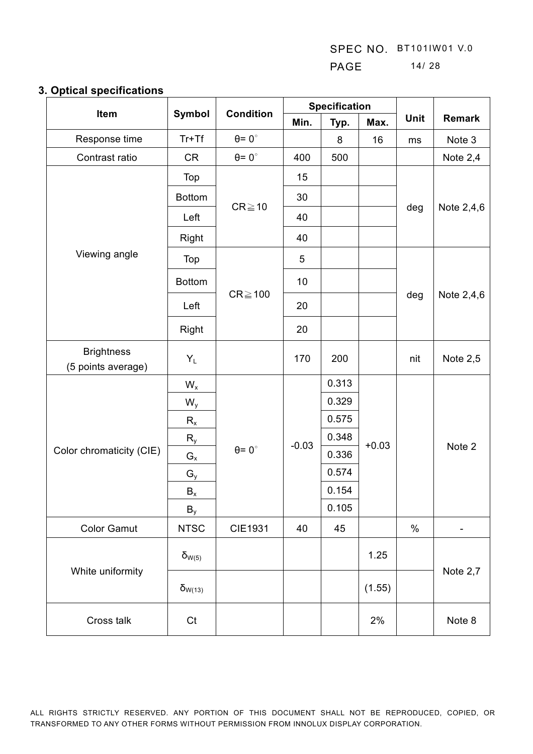SPEC NO. BT101IW01 V.0 PAGE 14/ 28

## **3. Optical specifications**

| ---------                               |                           |                      |                | <b>Specification</b> |         |      |            |
|-----------------------------------------|---------------------------|----------------------|----------------|----------------------|---------|------|------------|
| Item                                    | Symbol                    | <b>Condition</b>     | Min.           | Typ.                 | Max.    | Unit | Remark     |
| Response time                           | $Tr+Tf$                   | $\theta = 0^{\circ}$ |                | 8                    | 16      | ms   | Note 3     |
| Contrast ratio                          | <b>CR</b>                 | $\theta = 0^{\circ}$ | 400            | 500                  |         |      | Note 2,4   |
|                                         | Top                       |                      | 15             |                      |         |      |            |
|                                         | <b>Bottom</b>             | $CR \ge 10$          | 30             |                      |         |      |            |
|                                         | Left                      |                      | 40             |                      |         | deg  | Note 2,4,6 |
|                                         | Right                     |                      | 40             |                      |         |      |            |
| Viewing angle                           | Top                       |                      | $\overline{5}$ |                      |         |      |            |
|                                         | <b>Bottom</b>             |                      | 10             |                      |         |      |            |
|                                         | Left                      | $CR \ge 100$         | 20             |                      |         | deg  | Note 2,4,6 |
|                                         | Right                     |                      | 20             |                      |         |      |            |
| <b>Brightness</b><br>(5 points average) | $Y_L$                     |                      | 170            | 200                  |         | nit  | Note $2,5$ |
|                                         | $\mathsf{W}_{\mathsf{x}}$ |                      | $-0.03$        | 0.313                |         |      | Note 2     |
|                                         | $W_{y}$                   |                      |                | 0.329                |         |      |            |
|                                         | $R_{x}$                   |                      |                | 0.575                |         |      |            |
|                                         | $R_{y}$                   |                      |                | 0.348                | $+0.03$ |      |            |
| Color chromaticity (CIE)                | $\mathsf{G}_{\mathsf{x}}$ | $\theta = 0^{\circ}$ |                | 0.336                |         |      |            |
|                                         | $\mathsf{G}_{\mathsf{y}}$ |                      |                | 0.574                |         |      |            |
|                                         | $\mathsf{B}_{\mathsf{x}}$ |                      |                | 0.154                |         |      |            |
|                                         | $B_y$                     |                      |                | 0.105                |         |      |            |
| <b>Color Gamut</b>                      | <b>NTSC</b>               | <b>CIE1931</b>       | 40             | 45                   |         | $\%$ |            |
|                                         | $\delta_{W(5)}$           |                      |                |                      | 1.25    |      |            |
| White uniformity                        | $\delta_{W(13)}$          |                      |                |                      | (1.55)  |      | Note 2,7   |
| Cross talk                              | Ct                        |                      |                |                      | 2%      |      | Note 8     |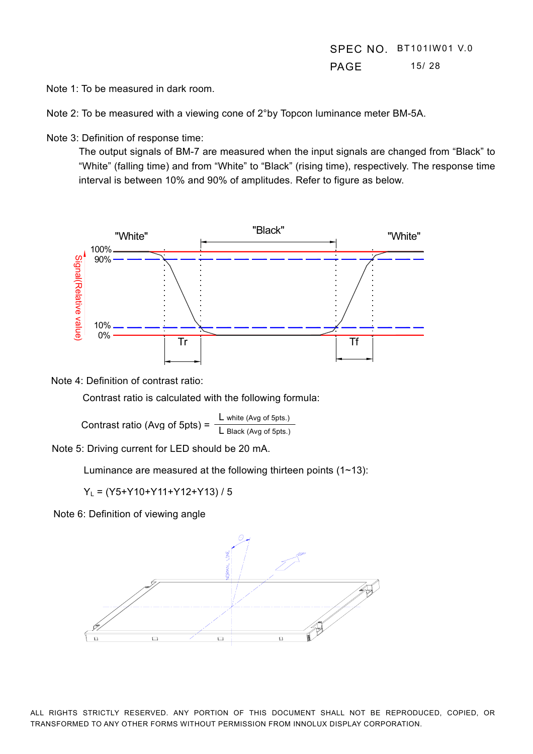Note 1: To be measured in dark room.

Note 2: To be measured with a viewing cone of 2°by Topcon luminance meter BM-5A.

Note 3: Definition of response time:

The output signals of BM-7 are measured when the input signals are changed from "Black" to "White" (falling time) and from "White" to "Black" (rising time), respectively. The response time interval is between 10% and 90% of amplitudes. Refer to figure as below.



Note 4: Definition of contrast ratio:

Contrast ratio is calculated with the following formula:

Contrast ratio (Avg of 5pts) = L white (Avg of 5pts.) L Black (Avg of 5pts.)

Note 5: Driving current for LED should be 20 mA.

Luminance are measured at the following thirteen points  $(1-13)$ :

YL = (Y5+Y10+Y11+Y12+Y13) / 5

Note 6: Definition of viewing angle

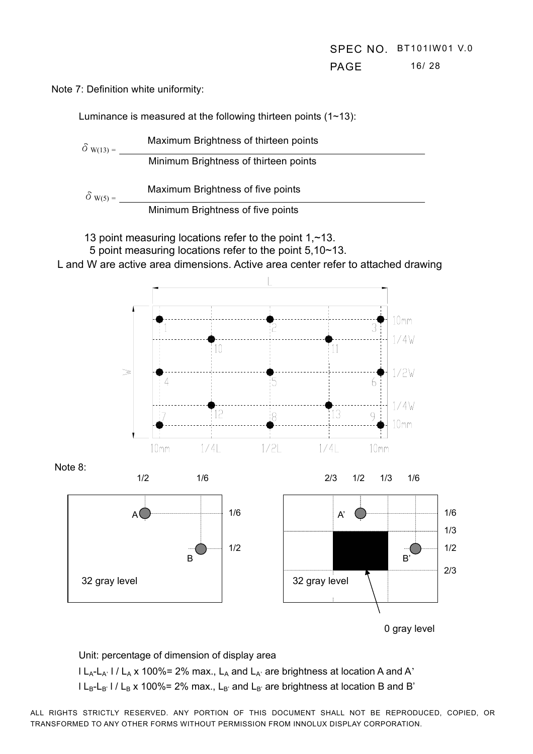**PAGE** 16/ 28

Note 7: Definition white uniformity:

Luminance is measured at the following thirteen points (1~13):



13 point measuring locations refer to the point  $1,$  ~13.

5 point measuring locations refer to the point 5,10~13.

L and W are active area dimensions. Active area center refer to attached drawing



0 gray level

Unit: percentage of dimension of display area

 $l L_A-L_A'$  l /  $L_A$  x 100%= 2% max.,  $L_A$  and  $L_A'$  are brightness at location A and A'  $l L_B-L_{B'}$  l /  $L_B$  x 100%= 2% max.,  $L_{B'}$  and  $L_{B'}$  are brightness at location B and B'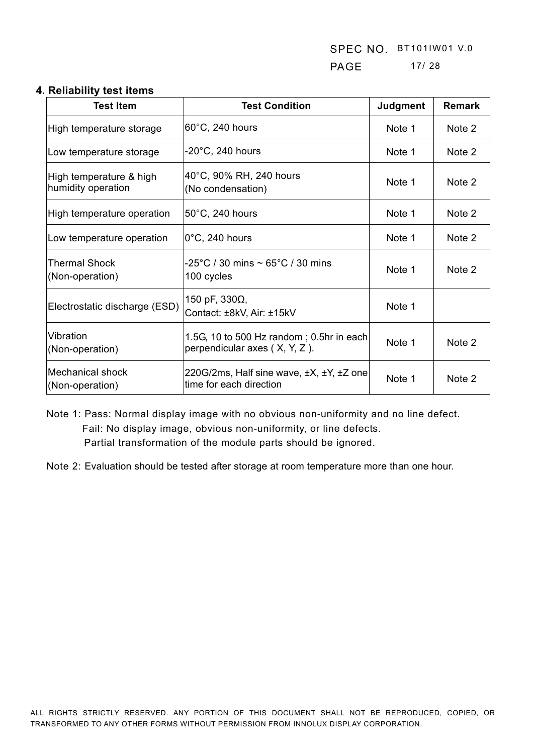SPEC NO. BT101IW01 V.0 PAGE 17/ 28

#### **4. Reliability test items**

| <b>Test Item</b>                              | <b>Test Condition</b>                                                           | <b>Judgment</b> | <b>Remark</b> |
|-----------------------------------------------|---------------------------------------------------------------------------------|-----------------|---------------|
| High temperature storage                      | 60°C, 240 hours                                                                 | Note 1          | Note 2        |
| Low temperature storage                       | $-20^{\circ}$ C, 240 hours                                                      | Note 1          | Note 2        |
| High temperature & high<br>humidity operation | 40°C, 90% RH, 240 hours<br>(No condensation)                                    | Note 1          | Note 2        |
| High temperature operation                    | 50°C, 240 hours                                                                 | Note 1          | Note 2        |
| Low temperature operation                     | $ 0^{\circ}$ C, 240 hours                                                       | Note 1          | Note 2        |
| Thermal Shock<br>(Non-operation)              | -25°C / 30 mins $\sim$ 65°C / 30 mins<br>100 cycles                             | Note 1          | Note 2        |
| Electrostatic discharge (ESD)                 | 150 pF, $330\Omega$ ,<br>Contact: ±8kV, Air: ±15kV                              | Note 1          |               |
| Vibration<br>(Non-operation)                  | 1.5G, 10 to 500 Hz random; $0.5$ hr in each<br>perpendicular axes $(X, Y, Z)$ . | Note 1          | Note 2        |
| Mechanical shock<br>(Non-operation)           | 220G/2ms, Half sine wave, ±X, ±Y, ±Z one<br>time for each direction             | Note 1          | Note 2        |

Note 1: Pass: Normal display image with no obvious non-uniformity and no line defect. Fail: No display image, obvious non-uniformity, or line defects. Partial transformation of the module parts should be ignored.

Note 2: Evaluation should be tested after storage at room temperature more than one hour.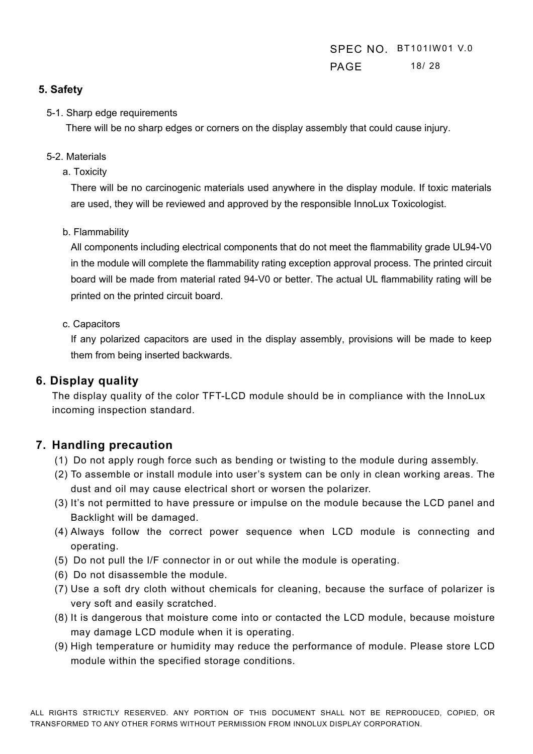# SPEC NO. BT101IW01 V.0 **PAGE** 18/ 28

## **5. Safety**

#### 5-1. Sharp edge requirements

There will be no sharp edges or corners on the display assembly that could cause injury.

#### 5-2. Materials

a. Toxicity

There will be no carcinogenic materials used anywhere in the display module. If toxic materials are used, they will be reviewed and approved by the responsible InnoLux Toxicologist.

b. Flammability

All components including electrical components that do not meet the flammability grade UL94-V0 in the module will complete the flammability rating exception approval process. The printed circuit board will be made from material rated 94-V0 or better. The actual UL flammability rating will be printed on the printed circuit board.

#### c. Capacitors

If any polarized capacitors are used in the display assembly, provisions will be made to keep them from being inserted backwards.

# **6. Display quality**

The display quality of the color TFT-LCD module should be in compliance with the InnoLux incoming inspection standard.

# **7. Handling precaution**

- (1) Do not apply rough force such as bending or twisting to the module during assembly.
- (2) To assemble or install module into user's system can be only in clean working areas. The dust and oil may cause electrical short or worsen the polarizer.
- (3) It's not permitted to have pressure or impulse on the module because the LCD panel and Backlight will be damaged.
- (4) Always follow the correct power sequence when LCD module is connecting and operating.
- (5) Do not pull the I/F connector in or out while the module is operating.
- (6) Do not disassemble the module.
- (7) Use a soft dry cloth without chemicals for cleaning, because the surface of polarizer is very soft and easily scratched.
- (8) It is dangerous that moisture come into or contacted the LCD module, because moisture may damage LCD module when it is operating.
- (9) High temperature or humidity may reduce the performance of module. Please store LCD module within the specified storage conditions.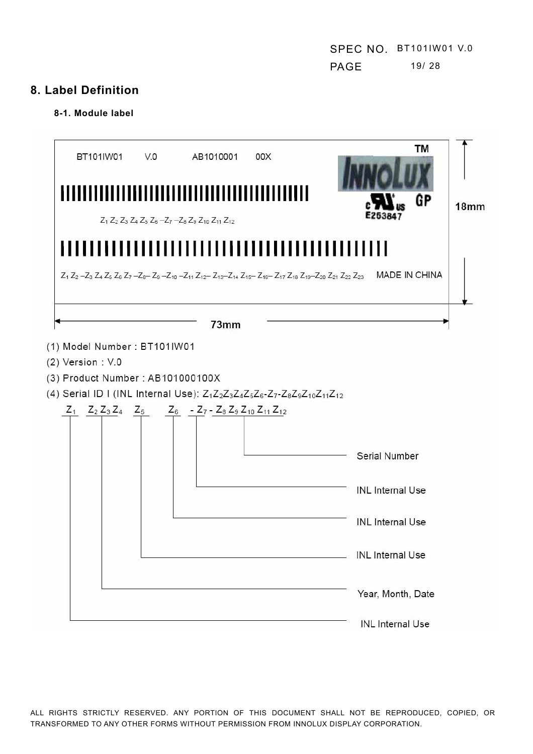# **8. Label Definition**

#### **8-1. Module label**

| BT101IW01                                                                                                                                                                   | V.0 | AB1010001<br>$Z_1$ $Z_2$ $Z_3$ $Z_4$ $Z_5$ $Z_6$ $-Z_7$ $-Z_8$ $Z_9$ $Z_{10}$ $Z_{11}$ $Z_{12}$ | 00X                               | TM<br>GP                                                                                              | 18 <sub>mm</sub> |
|-----------------------------------------------------------------------------------------------------------------------------------------------------------------------------|-----|-------------------------------------------------------------------------------------------------|-----------------------------------|-------------------------------------------------------------------------------------------------------|------------------|
| Ш                                                                                                                                                                           |     |                                                                                                 | \UUUUILLILLILLILLILLILLILLILLILLI | Ш<br>Z1 Z2-Z3 Z4 Z5 Z6 Z7-Z8-Z9-Z10-Z11 Z12-Z13-Z14 Z15-Z16-Z17 Z18 Z19-Z20 Z21 Z22 Z23 MADE IN CHINA |                  |
| (1) Model Number: BT101IW01<br>$(2)$ Version : $V.0$<br>(3) Product Number : AB101000100X                                                                                   |     | 73mm                                                                                            |                                   |                                                                                                       |                  |
| (4) Serial ID I (INL Internal Use): $Z_1Z_2Z_3Z_4Z_5Z_6-Z_7-Z_8Z_9Z_{10}Z_{11}Z_{12}$<br>$Z_1$ $Z_2$ $Z_3$ $Z_4$ $Z_5$ $Z_6$ $-Z_7$ $-Z_8$ $Z_9$ $Z_{10}$ $Z_{11}$ $Z_{12}$ |     |                                                                                                 |                                   |                                                                                                       |                  |
|                                                                                                                                                                             |     |                                                                                                 |                                   | Serial Number                                                                                         |                  |
|                                                                                                                                                                             |     |                                                                                                 |                                   | <b>INL</b> Internal Use                                                                               |                  |
|                                                                                                                                                                             |     |                                                                                                 |                                   | <b>INL</b> Internal Use                                                                               |                  |
|                                                                                                                                                                             |     |                                                                                                 |                                   | <b>INL</b> Internal Use                                                                               |                  |
|                                                                                                                                                                             |     |                                                                                                 |                                   | Year, Month, Date                                                                                     |                  |
|                                                                                                                                                                             |     |                                                                                                 |                                   | <b>INL</b> Internal Use                                                                               |                  |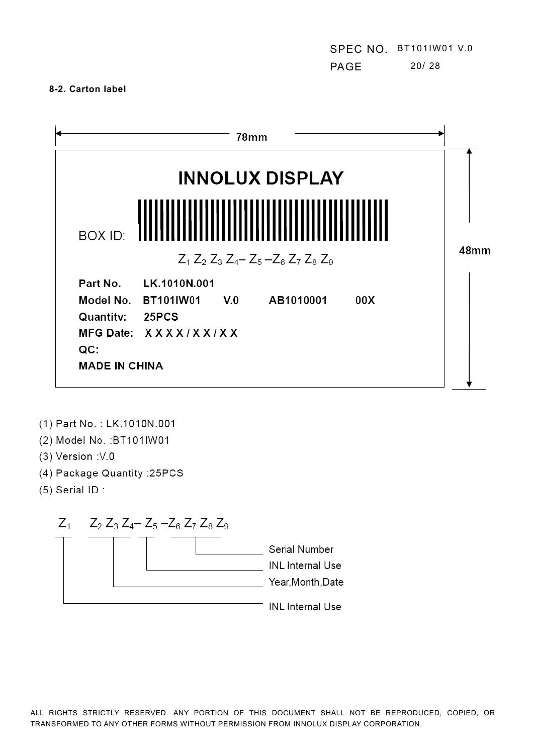SPEC NO. BT101IW01 V.0 PAGE 20/ 28

#### **8-2. Carton label**

|                       |                                                                             |              | <b>INNOLUX DISPLAY</b>                                                |     |                  |
|-----------------------|-----------------------------------------------------------------------------|--------------|-----------------------------------------------------------------------|-----|------------------|
| BOX ID:               |                                                                             |              | ,,,,,,,,,,,,,,,,,,,,,                                                 |     |                  |
|                       |                                                                             |              | $Z_1$ , $Z_2$ , $Z_3$ , $Z_4$ $-Z_5$ , $-Z_6$ , $Z_7$ , $Z_8$ , $Z_9$ |     | 48 <sub>mm</sub> |
| Part No.<br>Quantity: | <b>LK.1010N.001</b><br>Model No. BT101IW01<br>25PCS<br>MFG Date: XXXX/XX/XX | $V_{\cdot}0$ | AB1010001                                                             | 00X |                  |

- (1) Part No.: LK.1010N.001
- (2) Model No. : BT101IW01
- (3) Version : V.0
- (4) Package Quantity : 25PCS
- $(5)$  Serial ID:

 $Z_1$   $Z_2$   $Z_3$   $Z_4$   $Z_5$   $-Z_6$   $Z_7$   $Z_8$   $Z_9$ 

|  |  |  | Serial Number<br><b>INL</b> Internal Use<br>Year, Month, Date |
|--|--|--|---------------------------------------------------------------|
|  |  |  | <b>INL</b> Internal Use                                       |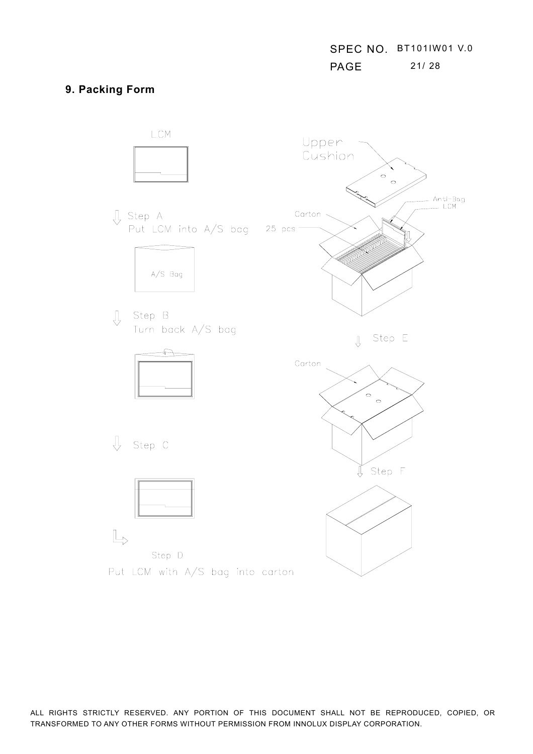## **9. Packing Form**

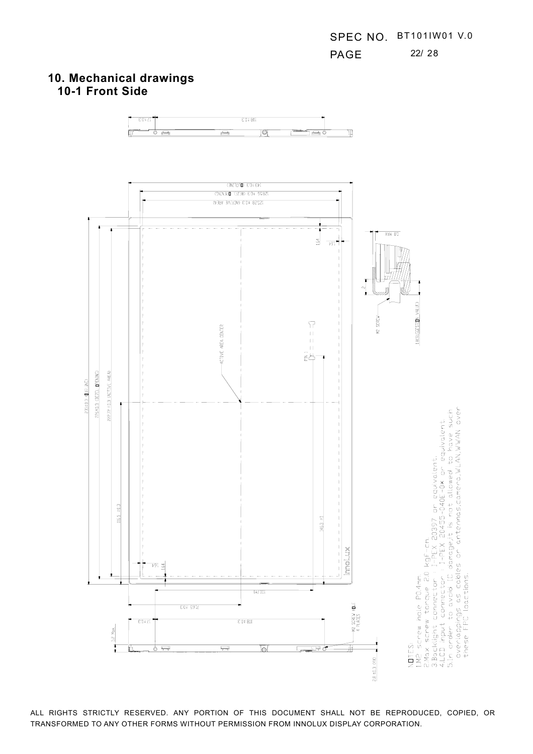# **10. Mechanical drawings 10-1 Front Side**

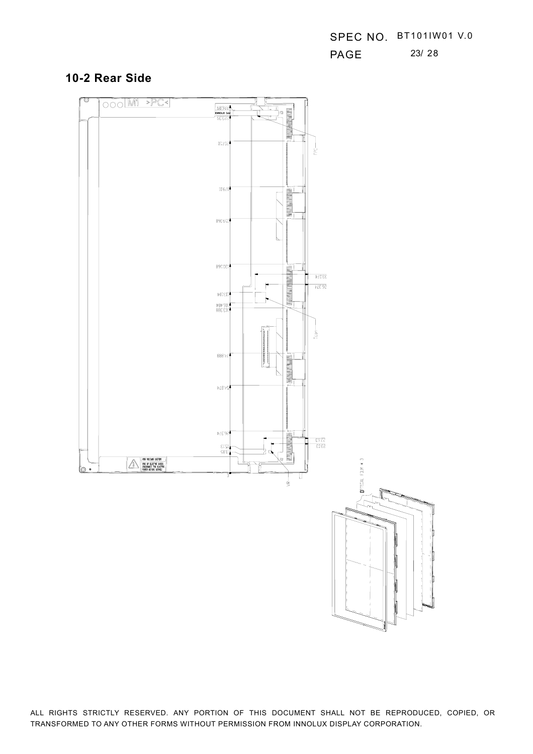SPEC NO. BT101IW01 V.0 **PAGE** 23/ 28

## **10-2 Rear Side**

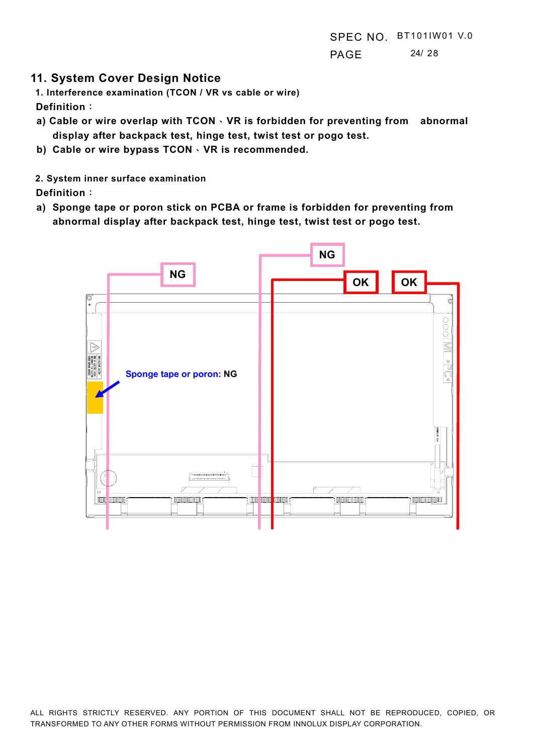## **11. System Cover Design Notice**

**1. Interference examination (TCON / VR vs cable or wire) Definition:** 

- **a) Cable or wire overlap with TCON · VR is forbidden for preventing from abnormal display after backpack test, hinge test, twist test or pogo test.**
- **b)** Cable or wire bypass TCON  $\cdot$  VR is recommended.

#### **2. System inner surface examination**

**Definition:** 

**a) Sponge tape or poron stick on PCBA or frame is forbidden for preventing from abnormal display after backpack test, hinge test, twist test or pogo test.** 

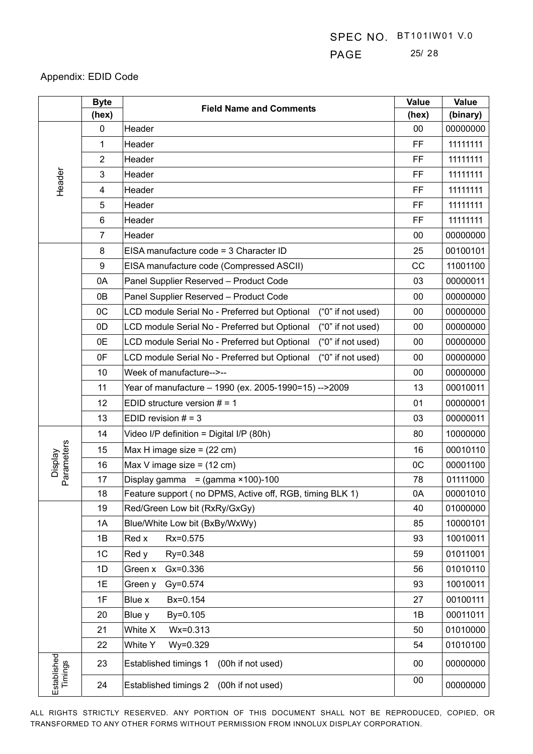# PAGE 25/ 28

## Appendix: EDID Code

|                        | <b>Byte</b>    | <b>Field Name and Comments</b>                                     | Value     | <b>Value</b> |
|------------------------|----------------|--------------------------------------------------------------------|-----------|--------------|
|                        | (hex)          |                                                                    | (hex)     | (binary)     |
|                        | $\mathbf 0$    | Header                                                             | 00        | 00000000     |
|                        | 1              | Header                                                             | FF        | 11111111     |
|                        | 2              | Header                                                             | FF        | 11111111     |
| Header                 | 3              | Header                                                             | FF        | 11111111     |
|                        | 4              | Header                                                             | <b>FF</b> | 11111111     |
|                        | 5              | Header                                                             | <b>FF</b> | 11111111     |
|                        | 6              | Header                                                             | <b>FF</b> | 11111111     |
|                        | $\overline{7}$ | Header                                                             | 00        | 00000000     |
|                        | 8              | EISA manufacture code = 3 Character ID                             | 25        | 00100101     |
|                        | 9              | EISA manufacture code (Compressed ASCII)                           | CC        | 11001100     |
|                        | 0A             | Panel Supplier Reserved - Product Code                             | 03        | 00000011     |
|                        | 0B             | Panel Supplier Reserved - Product Code                             | 00        | 00000000     |
|                        | OC             | LCD module Serial No - Preferred but Optional<br>("0" if not used) | 00        | 00000000     |
|                        | 0D             | LCD module Serial No - Preferred but Optional<br>("0" if not used) | 00        | 00000000     |
|                        | 0E             | ("0" if not used)<br>LCD module Serial No - Preferred but Optional | $00\,$    | 00000000     |
|                        | 0F             | LCD module Serial No - Preferred but Optional<br>("0" if not used) | 00        | 00000000     |
|                        | 10             | Week of manufacture-->--                                           | 00        | 00000000     |
|                        | 11             | Year of manufacture - 1990 (ex. 2005-1990=15) -->2009              | 13        | 00010011     |
|                        | 12             | EDID structure version $# = 1$                                     | 01        | 00000001     |
|                        | 13             | EDID revision $# = 3$                                              | 03        | 00000011     |
|                        | 14             | Video I/P definition = Digital I/P (80h)                           | 80        | 10000000     |
| Parameters             | 15             | Max H image size = $(22 \text{ cm})$                               | 16        | 00010110     |
| <b>Display</b>         | 16             | Max V image size = $(12 \text{ cm})$                               | OC        | 00001100     |
|                        | 17             | Display gamma<br>$=$ (gamma $×100$ )-100                           | 78        | 01111000     |
|                        | 18             | Feature support (no DPMS, Active off, RGB, timing BLK 1)           | 0A        | 00001010     |
|                        | 19             | Red/Green Low bit (RxRy/GxGy)                                      | 40        | 01000000     |
|                        | 1A             | Blue/White Low bit (BxBy/WxWy)                                     | 85        | 10000101     |
|                        | 1B             | Rx=0.575<br>Red x                                                  | 93        | 10010011     |
|                        | 1 <sub>C</sub> | Red y<br>Ry=0.348                                                  | 59        | 01011001     |
|                        | 1D             | $Gx = 0.336$<br>Green x                                            | 56        | 01010110     |
|                        | 1E             | Gy=0.574<br>Green y                                                | 93        | 10010011     |
|                        | 1F             | Bx=0.154<br>Blue x                                                 | 27        | 00100111     |
|                        | 20             | Blue y<br>By=0.105                                                 | 1B        | 00011011     |
|                        | 21             | White X<br>Wx=0.313                                                | 50        | 01010000     |
|                        | 22             | White Y<br>Wy=0.329                                                | 54        | 01010100     |
| Established<br>Timings | 23             | Established timings 1<br>(00h if not used)                         | 00        | 00000000     |
|                        | 24             | Established timings 2<br>(00h if not used)                         | $00\,$    | 00000000     |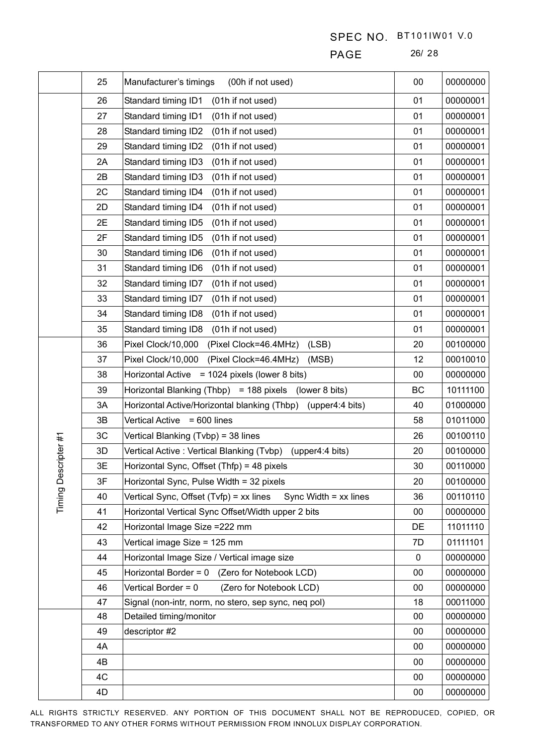PAGE 26/ 28

|             | 25 | Manufacturer's timings<br>(00h if not used)                        | 00 | 00000000 |
|-------------|----|--------------------------------------------------------------------|----|----------|
|             | 26 | Standard timing ID1<br>(01h if not used)                           | 01 | 00000001 |
|             | 27 | Standard timing ID1<br>(01h if not used)                           | 01 | 00000001 |
|             | 28 | Standard timing ID2<br>(01h if not used)                           | 01 | 00000001 |
|             | 29 | Standard timing ID2<br>(01h if not used)                           | 01 | 00000001 |
|             | 2A | Standard timing ID3<br>(01h if not used)                           | 01 | 00000001 |
|             | 2B | Standard timing ID3<br>(01h if not used)                           | 01 | 00000001 |
|             | 2C | Standard timing ID4<br>(01h if not used)                           | 01 | 00000001 |
|             | 2D | Standard timing ID4<br>(01h if not used)                           | 01 | 00000001 |
|             | 2E | Standard timing ID5<br>(01h if not used)                           | 01 | 00000001 |
|             | 2F | Standard timing ID5<br>(01h if not used)                           | 01 | 00000001 |
|             | 30 | Standard timing ID6<br>(01h if not used)                           | 01 | 00000001 |
|             | 31 | Standard timing ID6<br>(01h if not used)                           | 01 | 00000001 |
|             | 32 | Standard timing ID7<br>(01h if not used)                           | 01 | 00000001 |
|             | 33 | Standard timing ID7<br>(01h if not used)                           | 01 | 00000001 |
|             | 34 | Standard timing ID8<br>(01h if not used)                           | 01 | 00000001 |
|             | 35 | Standard timing ID8<br>(01h if not used)                           | 01 | 00000001 |
|             | 36 | Pixel Clock/10,000<br>(Pixel Clock=46.4MHz)<br>(LSB)               | 20 | 00100000 |
|             | 37 | Pixel Clock/10,000<br>(Pixel Clock=46.4MHz)<br>(MSB)               | 12 | 00010010 |
|             | 38 | <b>Horizontal Active</b><br>$= 1024$ pixels (lower 8 bits)         | 00 | 00000000 |
|             | 39 | Horizontal Blanking (Thbp) = 188 pixels<br>(lower 8 bits)          | BC | 10111100 |
|             | 3A | Horizontal Active/Horizontal blanking (Thbp)<br>(upper4:4 bits)    | 40 | 01000000 |
|             | 3B | <b>Vertical Active</b><br>$= 600$ lines                            | 58 | 01011000 |
|             | 3C | Vertical Blanking (Tvbp) = 38 lines                                | 26 | 00100110 |
| scripter #1 | 3D | Vertical Active: Vertical Blanking (Tvbp)<br>(upper4:4 bits)       | 20 | 00100000 |
|             | 3E | Horizontal Sync, Offset (Thfp) = 48 pixels                         | 30 | 00110000 |
| Timing De   | 3F | Horizontal Sync, Pulse Width = 32 pixels                           | 20 | 00100000 |
|             | 40 | Vertical Sync, Offset (Tvfp) = xx lines<br>Sync Width $=$ xx lines | 36 | 00110110 |
|             | 41 | Horizontal Vertical Sync Offset/Width upper 2 bits                 | 00 | 00000000 |
|             | 42 | Horizontal Image Size = 222 mm                                     | DE | 11011110 |
|             | 43 | Vertical image Size = 125 mm                                       | 7D | 01111101 |
|             | 44 | Horizontal Image Size / Vertical image size                        | 0  | 00000000 |
|             | 45 | Horizontal Border = 0 (Zero for Notebook LCD)                      | 00 | 00000000 |
|             | 46 | Vertical Border = 0<br>(Zero for Notebook LCD)                     | 00 | 00000000 |
|             | 47 | Signal (non-intr, norm, no stero, sep sync, neq pol)               | 18 | 00011000 |
|             | 48 | Detailed timing/monitor                                            | 00 | 00000000 |
|             | 49 | descriptor #2                                                      | 00 | 00000000 |
|             | 4A |                                                                    | 00 | 00000000 |
|             | 4B |                                                                    | 00 | 00000000 |
|             | 4C |                                                                    | 00 | 00000000 |
|             | 4D |                                                                    | 00 | 00000000 |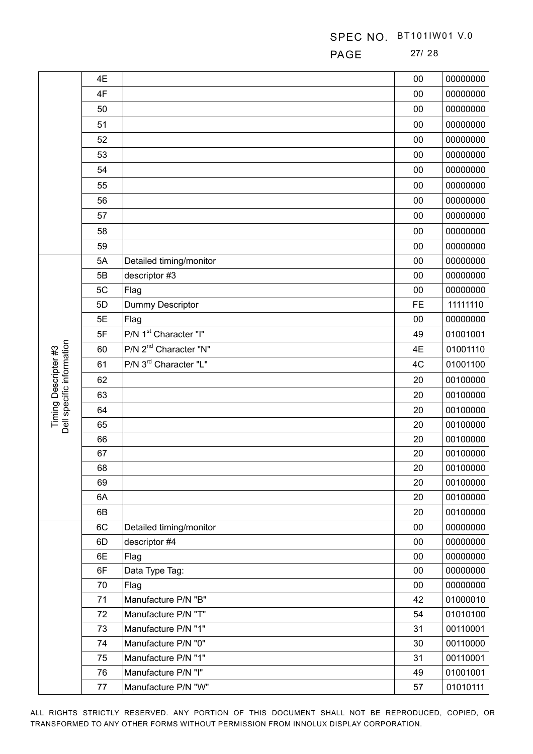PAGE 27/ 28

|                                                   | 4E       |                                            | 00        | 00000000             |
|---------------------------------------------------|----------|--------------------------------------------|-----------|----------------------|
|                                                   | 4F       |                                            | 00        | 00000000             |
|                                                   | 50       |                                            | 00        | 00000000             |
|                                                   | 51       |                                            | 00        | 00000000             |
|                                                   | 52       |                                            | 00        | 00000000             |
|                                                   | 53       |                                            | 00        | 00000000             |
|                                                   | 54       |                                            | 00        | 00000000             |
|                                                   | 55       |                                            | 00        | 00000000             |
|                                                   | 56       |                                            | 00        | 00000000             |
|                                                   | 57       |                                            | 00        | 00000000             |
|                                                   | 58       |                                            | 00        | 00000000             |
|                                                   | 59       |                                            | 00        | 00000000             |
|                                                   | 5A       | Detailed timing/monitor                    | 00        | 00000000             |
|                                                   | 5B       | descriptor #3                              | 00        | 00000000             |
|                                                   | 5C       | Flag                                       | 00        | 00000000             |
|                                                   | 5D       | Dummy Descriptor                           | <b>FE</b> | 11111110             |
|                                                   | 5E       | Flag                                       | 00        | 00000000             |
|                                                   | 5F       | P/N 1 <sup>st</sup> Character "I"          | 49        | 01001001             |
|                                                   | 60       | P/N 2 <sup>nd</sup> Character "N"          | 4E        | 01001110             |
|                                                   | 61       | P/N 3 <sup>rd</sup> Character "L"          | 4C        | 01001100             |
|                                                   | 62       |                                            | 20        | 00100000             |
| Timing Descripter #3<br>Dell specific information | 63       |                                            | 20        | 00100000             |
|                                                   | 64       |                                            | 20        | 00100000             |
|                                                   | 65       |                                            | 20        | 00100000             |
|                                                   | 66       |                                            | 20        | 00100000             |
|                                                   | 67       |                                            | 20        | 00100000             |
|                                                   | 68       |                                            | 20        | 00100000             |
|                                                   | 69       |                                            | 20        | 00100000             |
|                                                   | 6A       |                                            | 20        | 00100000             |
|                                                   | 6B       |                                            | 20        | 00100000             |
|                                                   | 6C       | Detailed timing/monitor                    | 00        | 00000000             |
|                                                   | 6D       | descriptor #4                              | 00        | 00000000             |
|                                                   | 6E       | Flag                                       | 00        | 00000000             |
|                                                   | 6F       | Data Type Tag:                             | 00        | 00000000             |
|                                                   | 70       | Flag                                       | 00        | 00000000             |
|                                                   | 71       | Manufacture P/N "B"                        | 42        | 01000010             |
|                                                   | 72       | Manufacture P/N "T"                        | 54        | 01010100             |
|                                                   | 73       | Manufacture P/N "1"                        | 31        | 00110001             |
|                                                   | 74<br>75 | Manufacture P/N "0"<br>Manufacture P/N "1" | 30<br>31  | 00110000<br>00110001 |
|                                                   | 76       | Manufacture P/N "I"                        | 49        | 01001001             |
|                                                   | 77       | Manufacture P/N "W"                        | 57        |                      |
|                                                   |          |                                            |           | 01010111             |